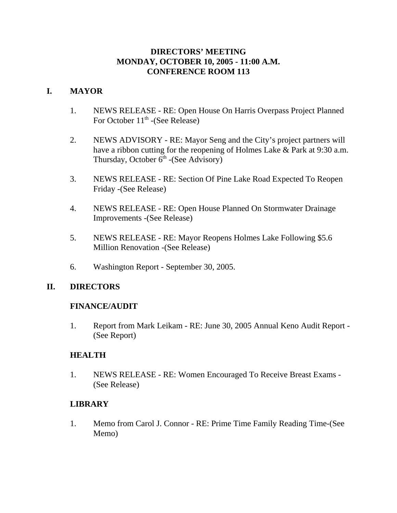### **DIRECTORS' MEETING MONDAY, OCTOBER 10, 2005 - 11:00 A.M. CONFERENCE ROOM 113**

## **I. MAYOR**

- 1. NEWS RELEASE RE: Open House On Harris Overpass Project Planned For October 11<sup>th</sup> -(See Release)
- 2. NEWS ADVISORY RE: Mayor Seng and the City's project partners will have a ribbon cutting for the reopening of Holmes Lake & Park at 9:30 a.m. Thursday, October  $6<sup>th</sup>$  -(See Advisory)
- 3. NEWS RELEASE RE: Section Of Pine Lake Road Expected To Reopen Friday -(See Release)
- 4. NEWS RELEASE RE: Open House Planned On Stormwater Drainage Improvements -(See Release)
- 5. NEWS RELEASE RE: Mayor Reopens Holmes Lake Following \$5.6 Million Renovation -(See Release)
- 6. Washington Report September 30, 2005.

# **II. DIRECTORS**

### **FINANCE/AUDIT**

1. Report from Mark Leikam - RE: June 30, 2005 Annual Keno Audit Report - (See Report)

### **HEALTH**

1. NEWS RELEASE - RE: Women Encouraged To Receive Breast Exams - (See Release)

### **LIBRARY**

1. Memo from Carol J. Connor - RE: Prime Time Family Reading Time-(See Memo)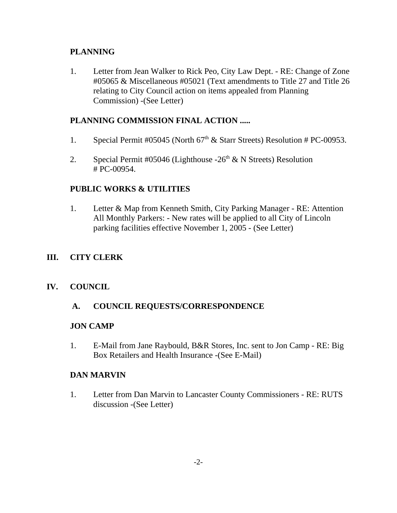## **PLANNING**

1. Letter from Jean Walker to Rick Peo, City Law Dept. - RE: Change of Zone #05065 & Miscellaneous #05021 (Text amendments to Title 27 and Title 26 relating to City Council action on items appealed from Planning Commission) -(See Letter)

# **PLANNING COMMISSION FINAL ACTION .....**

- 1. Special Permit #05045 (North  $67<sup>th</sup>$  & Starr Streets) Resolution # PC-00953.
- 2. Special Permit #05046 (Lighthouse  $-26<sup>th</sup>$  & N Streets) Resolution # PC-00954.

### **PUBLIC WORKS & UTILITIES**

1. Letter & Map from Kenneth Smith, City Parking Manager - RE: Attention All Monthly Parkers: - New rates will be applied to all City of Lincoln parking facilities effective November 1, 2005 - (See Letter)

### **III. CITY CLERK**

### **IV. COUNCIL**

### **A. COUNCIL REQUESTS/CORRESPONDENCE**

#### **JON CAMP**

1. E-Mail from Jane Raybould, B&R Stores, Inc. sent to Jon Camp - RE: Big Box Retailers and Health Insurance -(See E-Mail)

#### **DAN MARVIN**

1. Letter from Dan Marvin to Lancaster County Commissioners - RE: RUTS discussion -(See Letter)